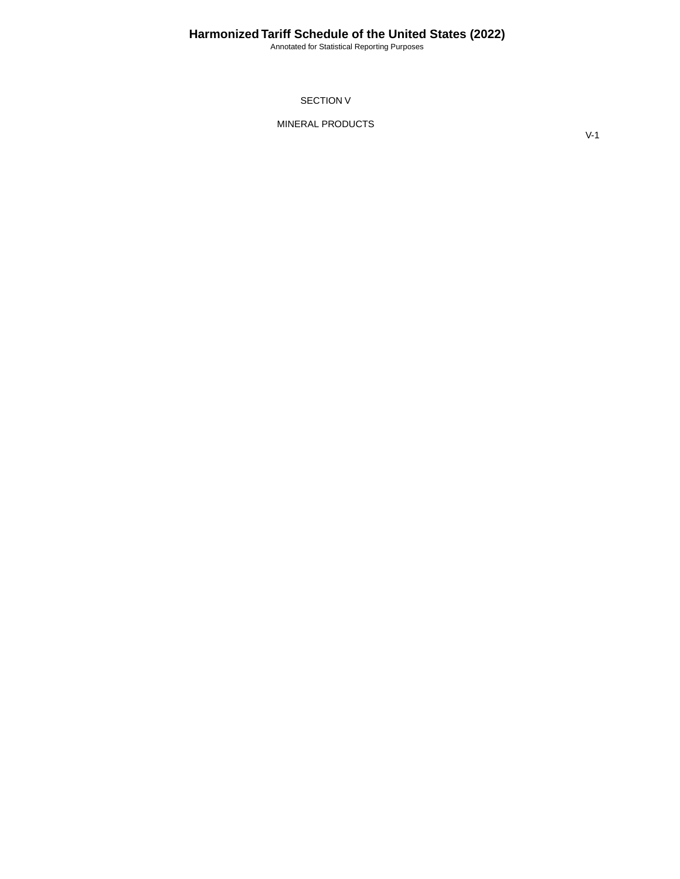Annotated for Statistical Reporting Purposes

SECTION V

MINERAL PRODUCTS

V-1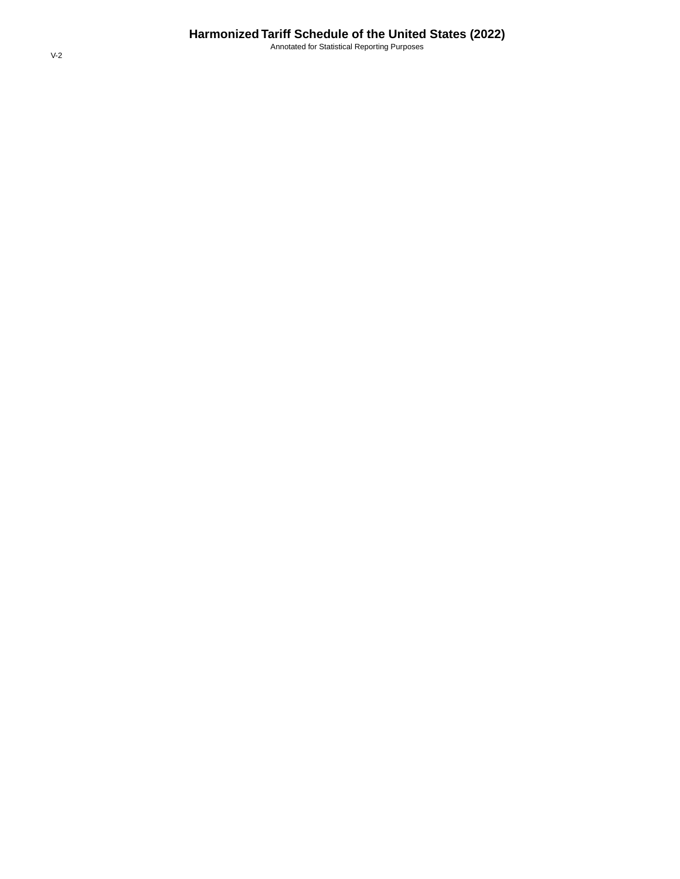Annotated for Statistical Reporting Purposes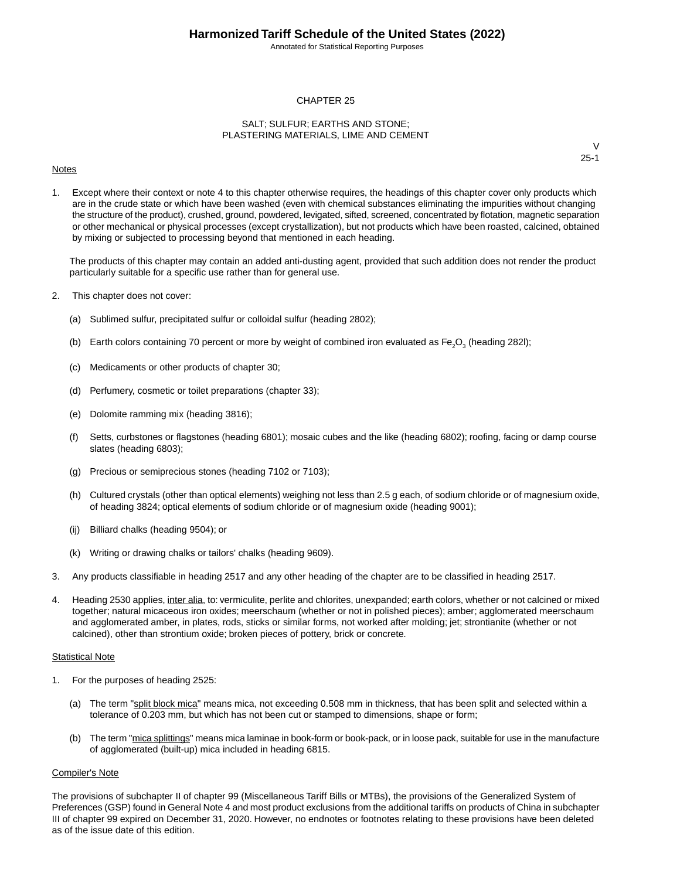Annotated for Statistical Reporting Purposes

### CHAPTER 25

### SALT; SULFUR; EARTHS AND STONE; PLASTERING MATERIALS, LIME AND CEMENT

### Notes

V 25-1

1. Except where their context or note 4 to this chapter otherwise requires, the headings of this chapter cover only products which are in the crude state or which have been washed (even with chemical substances eliminating the impurities without changing the structure of the product), crushed, ground, powdered, levigated, sifted, screened, concentrated by flotation, magnetic separation or other mechanical or physical processes (except crystallization), but not products which have been roasted, calcined, obtained by mixing or subjected to processing beyond that mentioned in each heading.

The products of this chapter may contain an added anti-dusting agent, provided that such addition does not render the product particularly suitable for a specific use rather than for general use.

- 2. This chapter does not cover:
	- (a) Sublimed sulfur, precipitated sulfur or colloidal sulfur (heading 2802);
	- (b) Earth colors containing 70 percent or more by weight of combined iron evaluated as Fe<sub>2</sub>O<sub>3</sub> (heading 282I);
	- (c) Medicaments or other products of chapter 30;
	- (d) Perfumery, cosmetic or toilet preparations (chapter 33);
	- (e) Dolomite ramming mix (heading 3816);
	- (f) Setts, curbstones or flagstones (heading 6801); mosaic cubes and the like (heading 6802); roofing, facing or damp course slates (heading 6803);
	- (g) Precious or semiprecious stones (heading 7102 or 7103);
	- (h) Cultured crystals (other than optical elements) weighing not less than 2.5 g each, of sodium chloride or of magnesium oxide, of heading 3824; optical elements of sodium chloride or of magnesium oxide (heading 9001);
	- (ij) Billiard chalks (heading 9504); or
	- (k) Writing or drawing chalks or tailors' chalks (heading 9609).
- 3. Any products classifiable in heading 2517 and any other heading of the chapter are to be classified in heading 2517.
- 4. Heading 2530 applies, inter alia, to: vermiculite, perlite and chlorites, unexpanded; earth colors, whether or not calcined or mixed together; natural micaceous iron oxides; meerschaum (whether or not in polished pieces); amber; agglomerated meerschaum and agglomerated amber, in plates, rods, sticks or similar forms, not worked after molding; jet; strontianite (whether or not calcined), other than strontium oxide; broken pieces of pottery, brick or concrete.

### Statistical Note

- 1. For the purposes of heading 2525:
	- (a) The term "split block mica" means mica, not exceeding 0.508 mm in thickness, that has been split and selected within a tolerance of 0.203 mm, but which has not been cut or stamped to dimensions, shape or form;
	- (b) The term "mica splittings" means mica laminae in book-form or book-pack, or in loose pack, suitable for use in the manufacture of agglomerated (built-up) mica included in heading 6815.

### Compiler's Note

The provisions of subchapter II of chapter 99 (Miscellaneous Tariff Bills or MTBs), the provisions of the Generalized System of Preferences (GSP) found in General Note 4 and most product exclusions from the additional tariffs on products of China in subchapter III of chapter 99 expired on December 31, 2020. However, no endnotes or footnotes relating to these provisions have been deleted as of the issue date of this edition.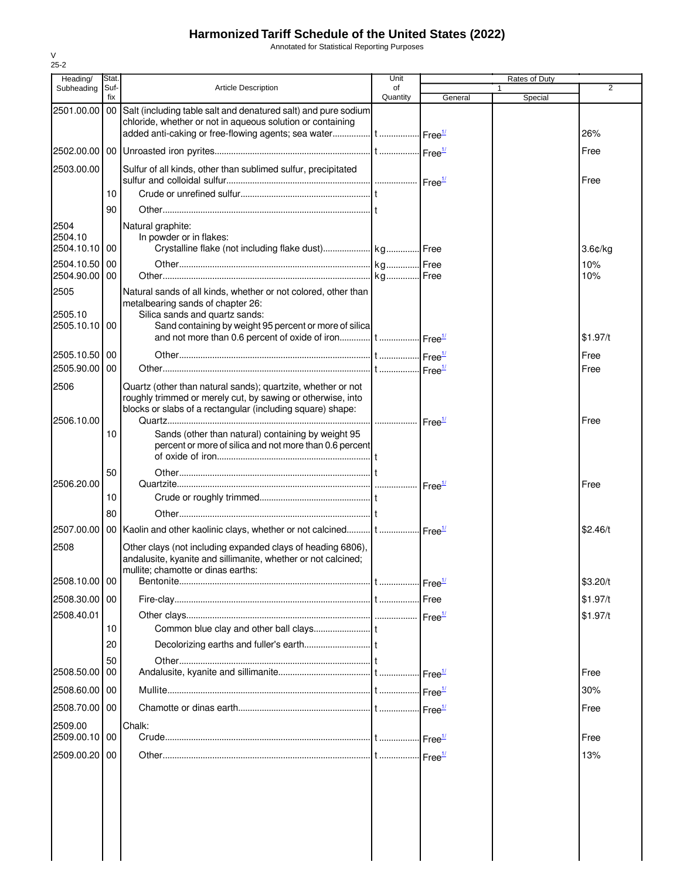Annotated for Statistical Reporting Purposes

| Heading/                         | Stat.       |                                                                                                                                                                                           | Unit           |                                    | Rates of Duty |                |
|----------------------------------|-------------|-------------------------------------------------------------------------------------------------------------------------------------------------------------------------------------------|----------------|------------------------------------|---------------|----------------|
| Subheading                       | Suf-<br>fix | <b>Article Description</b>                                                                                                                                                                | of<br>Quantity | General                            | Special       | $\overline{2}$ |
| 2501.00.00                       |             | 00 Salt (including table salt and denatured salt) and pure sodium                                                                                                                         |                |                                    |               |                |
|                                  |             | chloride, whether or not in aqueous solution or containing                                                                                                                                |                |                                    |               | 26%            |
|                                  |             |                                                                                                                                                                                           |                |                                    |               | Free           |
| 2503.00.00                       |             | Sulfur of all kinds, other than sublimed sulfur, precipitated                                                                                                                             |                |                                    |               | Free           |
|                                  | 10          |                                                                                                                                                                                           |                |                                    |               |                |
|                                  | 90          |                                                                                                                                                                                           |                |                                    |               |                |
| 2504                             |             | Natural graphite:                                                                                                                                                                         |                |                                    |               |                |
| 2504.10<br>2504.10.10 00         |             | In powder or in flakes:                                                                                                                                                                   |                |                                    |               | $3.6$ ¢/kg     |
| 2504.10.50                       | 00          |                                                                                                                                                                                           |                |                                    |               | 10%            |
| 2504.90.00                       | 00          |                                                                                                                                                                                           |                |                                    |               | 10%            |
| 2505<br>2505.10<br>2505.10.10 00 |             | Natural sands of all kinds, whether or not colored, other than<br>metalbearing sands of chapter 26:<br>Silica sands and quartz sands:                                                     |                |                                    |               |                |
|                                  |             | Sand containing by weight 95 percent or more of silical                                                                                                                                   |                |                                    |               | \$1.97/t       |
| 2505.10.50                       | 00          |                                                                                                                                                                                           |                |                                    |               | Free           |
| 2505.90.00                       | 00          |                                                                                                                                                                                           |                |                                    |               | Free           |
| 2506                             |             | Quartz (other than natural sands); quartzite, whether or not<br>roughly trimmed or merely cut, by sawing or otherwise, into<br>blocks or slabs of a rectangular (including square) shape: |                |                                    |               |                |
| 2506.10.00                       | 10          | Sands (other than natural) containing by weight 95<br>percent or more of silica and not more than 0.6 percent                                                                             |                |                                    |               | Free           |
|                                  | 50          |                                                                                                                                                                                           |                |                                    |               |                |
| 2506.20.00                       |             |                                                                                                                                                                                           |                | Free <sup>1/</sup>                 |               | Free           |
|                                  | 10          |                                                                                                                                                                                           |                |                                    |               |                |
|                                  | 80          |                                                                                                                                                                                           |                |                                    |               |                |
| 2507.00.00                       |             | 00 Kaolin and other kaolinic clays, whether or not calcined   t    Free <sup>1/</sup>                                                                                                     |                |                                    |               | \$2.46/t       |
| 2508                             |             | Other clays (not including expanded clays of heading 6806),<br>andalusite, kyanite and sillimanite, whether or not calcined;<br>mullite; chamotte or dinas earths:                        |                |                                    |               |                |
| 2508.10.00 00                    |             |                                                                                                                                                                                           |                |                                    |               | \$3.20/t       |
| 2508.30.00 00                    |             |                                                                                                                                                                                           |                |                                    |               | \$1.97/t       |
| 2508.40.01                       |             |                                                                                                                                                                                           |                |                                    |               | \$1.97/t       |
|                                  | 10          |                                                                                                                                                                                           |                |                                    |               |                |
|                                  | 20          |                                                                                                                                                                                           |                |                                    |               |                |
| 2508.50.00                       | 50<br>00    |                                                                                                                                                                                           |                | $\mathsf{Free}^{\mathsf{1}\prime}$ |               | Free           |
| 2508.60.00 00                    |             |                                                                                                                                                                                           |                | Free <sup>1/</sup>                 |               | 30%            |
| 2508.70.00 00                    |             |                                                                                                                                                                                           |                |                                    |               | Free           |
| 2509.00                          |             | Chalk:                                                                                                                                                                                    |                |                                    |               |                |
| 2509.00.10 00                    |             |                                                                                                                                                                                           |                |                                    |               | Free           |
| 2509.00.20 00                    |             |                                                                                                                                                                                           |                |                                    |               | 13%            |
|                                  |             |                                                                                                                                                                                           |                |                                    |               |                |

V  $25 - 2$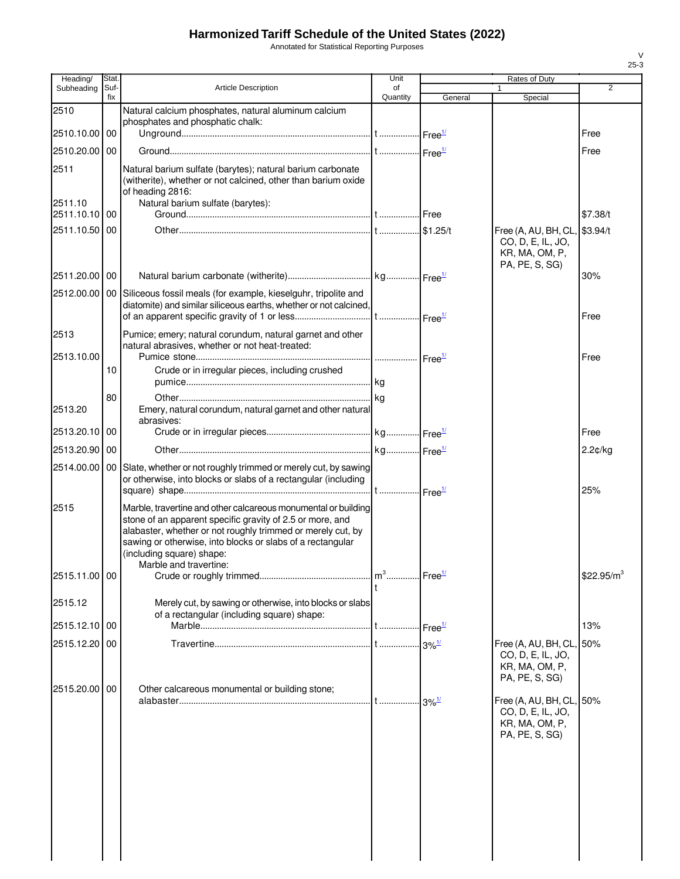Annotated for Statistical Reporting Purposes

| Heading/        | Stat.       |                                                                                                                                                                                                                                                                                                                 | Unit           |                    | Rates of Duty                                                                     |                        |
|-----------------|-------------|-----------------------------------------------------------------------------------------------------------------------------------------------------------------------------------------------------------------------------------------------------------------------------------------------------------------|----------------|--------------------|-----------------------------------------------------------------------------------|------------------------|
| Subheading      | Suf-<br>fix | <b>Article Description</b>                                                                                                                                                                                                                                                                                      | of<br>Quantity | General            | Special                                                                           | $\overline{2}$         |
| 2510            |             | Natural calcium phosphates, natural aluminum calcium                                                                                                                                                                                                                                                            |                |                    |                                                                                   |                        |
|                 |             | phosphates and phosphatic chalk:                                                                                                                                                                                                                                                                                |                |                    |                                                                                   |                        |
| 2510.10.00 00   |             |                                                                                                                                                                                                                                                                                                                 |                |                    |                                                                                   | Free                   |
| 2510.20.00      | 00          |                                                                                                                                                                                                                                                                                                                 |                |                    |                                                                                   | Free                   |
| 2511<br>2511.10 |             | Natural barium sulfate (barytes); natural barium carbonate<br>(witherite), whether or not calcined, other than barium oxide<br>of heading 2816:                                                                                                                                                                 |                |                    |                                                                                   |                        |
| 2511.10.10 00   |             | Natural barium sulfate (barytes):                                                                                                                                                                                                                                                                               |                |                    |                                                                                   | \$7.38/t               |
| 2511.10.50 00   |             |                                                                                                                                                                                                                                                                                                                 |                |                    | Free (A, AU, BH, CL,                                                              | \$3.94/t               |
|                 |             |                                                                                                                                                                                                                                                                                                                 |                |                    | CO, D, E, IL, JO,<br>KR, MA, OM, P,<br>PA, PE, S, SG)                             |                        |
| 2511.20.00 00   |             |                                                                                                                                                                                                                                                                                                                 |                |                    |                                                                                   | 30%                    |
| 2512.00.00      |             | 00 Siliceous fossil meals (for example, kieselguhr, tripolite and<br>diatomite) and similar siliceous earths, whether or not calcined,                                                                                                                                                                          |                |                    |                                                                                   | Free                   |
| 2513            |             | Pumice; emery; natural corundum, natural garnet and other<br>natural abrasives, whether or not heat-treated:                                                                                                                                                                                                    |                |                    |                                                                                   |                        |
| 2513.10.00      |             |                                                                                                                                                                                                                                                                                                                 |                |                    |                                                                                   | Free                   |
|                 | 10          | Crude or in irregular pieces, including crushed                                                                                                                                                                                                                                                                 |                |                    |                                                                                   |                        |
| 2513.20         | 80          | Emery, natural corundum, natural garnet and other natural<br>abrasives:                                                                                                                                                                                                                                         |                |                    |                                                                                   |                        |
| 2513.20.10      | 00          |                                                                                                                                                                                                                                                                                                                 |                |                    |                                                                                   | Free                   |
| 2513.20.90 00   |             |                                                                                                                                                                                                                                                                                                                 |                |                    |                                                                                   | 2.2¢/kg                |
|                 |             | 2514.00.00   00 Slate, whether or not roughly trimmed or merely cut, by sawing<br>or otherwise, into blocks or slabs of a rectangular (including                                                                                                                                                                |                |                    |                                                                                   | 25%                    |
| 2515            |             | Marble, travertine and other calcareous monumental or building<br>stone of an apparent specific gravity of 2.5 or more, and<br>alabaster, whether or not roughly trimmed or merely cut, by<br>sawing or otherwise, into blocks or slabs of a rectangular<br>(including square) shape:<br>Marble and travertine: |                |                    |                                                                                   |                        |
| 2515.11.00 00   |             |                                                                                                                                                                                                                                                                                                                 |                | Free <sup>1/</sup> |                                                                                   | \$22.95/m <sup>3</sup> |
| 2515.12         |             | Merely cut, by sawing or otherwise, into blocks or slabs<br>of a rectangular (including square) shape:                                                                                                                                                                                                          |                |                    |                                                                                   |                        |
| 2515.12.10 00   |             |                                                                                                                                                                                                                                                                                                                 |                |                    |                                                                                   | 13%                    |
| 2515.12.20      | 00          |                                                                                                                                                                                                                                                                                                                 |                |                    | Free (A, AU, BH, CL,<br>CO, D, E, IL, JO,<br>KR, MA, OM, P,<br>PA, PE, S, SG)     | 50%                    |
| 2515.20.00 00   |             | Other calcareous monumental or building stone;                                                                                                                                                                                                                                                                  |                |                    |                                                                                   |                        |
|                 |             |                                                                                                                                                                                                                                                                                                                 |                |                    | Free (A, AU, BH, CL, 50%<br>CO, D, E, IL, JO,<br>KR, MA, OM, P,<br>PA, PE, S, SG) |                        |
|                 |             |                                                                                                                                                                                                                                                                                                                 |                |                    |                                                                                   |                        |
|                 |             |                                                                                                                                                                                                                                                                                                                 |                |                    |                                                                                   |                        |
|                 |             |                                                                                                                                                                                                                                                                                                                 |                |                    |                                                                                   |                        |
|                 |             |                                                                                                                                                                                                                                                                                                                 |                |                    |                                                                                   |                        |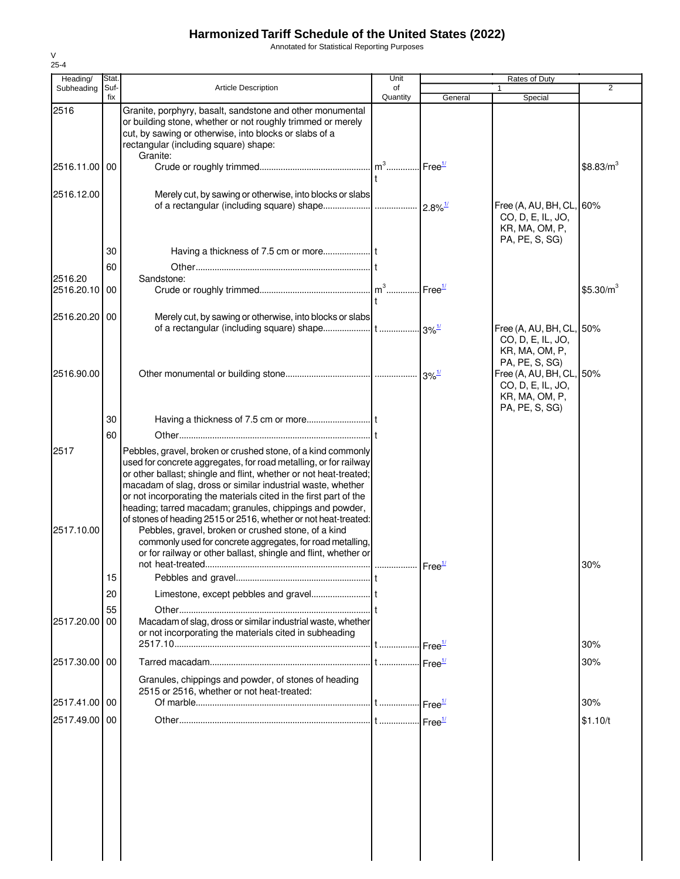Annotated for Statistical Reporting Purposes

| Heading/              | Stat.       |                                                                                                                                                                                                                                                                                                                                                                                                                                                                          | Unit           | Rates of Duty |                                                                                                     |                       |
|-----------------------|-------------|--------------------------------------------------------------------------------------------------------------------------------------------------------------------------------------------------------------------------------------------------------------------------------------------------------------------------------------------------------------------------------------------------------------------------------------------------------------------------|----------------|---------------|-----------------------------------------------------------------------------------------------------|-----------------------|
| Subheading            | Suf-<br>fix | <b>Article Description</b>                                                                                                                                                                                                                                                                                                                                                                                                                                               | of<br>Quantity | General       | Special                                                                                             | $\overline{2}$        |
| 2516                  |             | Granite, porphyry, basalt, sandstone and other monumental<br>or building stone, whether or not roughly trimmed or merely<br>cut, by sawing or otherwise, into blocks or slabs of a<br>rectangular (including square) shape:                                                                                                                                                                                                                                              |                |               |                                                                                                     |                       |
| 2516.11.00            | 00          | Granite:                                                                                                                                                                                                                                                                                                                                                                                                                                                                 |                |               |                                                                                                     | $$8.83/m^3$           |
| 2516.12.00            |             | Merely cut, by sawing or otherwise, into blocks or slabs                                                                                                                                                                                                                                                                                                                                                                                                                 |                |               | Free (A, AU, BH, CL, 60%<br>CO, D, E, IL, JO,<br>KR, MA, OM, P,<br>PA, PE, S, SG)                   |                       |
|                       | 30          |                                                                                                                                                                                                                                                                                                                                                                                                                                                                          |                |               |                                                                                                     |                       |
|                       | 60          |                                                                                                                                                                                                                                                                                                                                                                                                                                                                          |                |               |                                                                                                     |                       |
| 2516.20<br>2516.20.10 | 00          | Sandstone:                                                                                                                                                                                                                                                                                                                                                                                                                                                               |                |               |                                                                                                     | \$5.30/m <sup>3</sup> |
|                       |             |                                                                                                                                                                                                                                                                                                                                                                                                                                                                          |                |               |                                                                                                     |                       |
| 2516.20.20            | 00          | Merely cut, by sawing or otherwise, into blocks or slabs                                                                                                                                                                                                                                                                                                                                                                                                                 |                |               | Free (A, AU, BH, CL, 50%<br>CO, D, E, IL, JO,<br>KR, MA, OM, P,                                     |                       |
| 2516.90.00            |             |                                                                                                                                                                                                                                                                                                                                                                                                                                                                          |                |               | PA, PE, S, SG)<br>Free (A, AU, BH, CL, 50%<br>CO, D, E, IL, JO,<br>KR, MA, OM, P,<br>PA, PE, S, SG) |                       |
|                       | 30          |                                                                                                                                                                                                                                                                                                                                                                                                                                                                          |                |               |                                                                                                     |                       |
|                       | 60          |                                                                                                                                                                                                                                                                                                                                                                                                                                                                          |                |               |                                                                                                     |                       |
| 2517                  |             | Pebbles, gravel, broken or crushed stone, of a kind commonly<br>used for concrete aggregates, for road metalling, or for railway<br>or other ballast; shingle and flint, whether or not heat-treated;<br>macadam of slag, dross or similar industrial waste, whether<br>or not incorporating the materials cited in the first part of the<br>heading; tarred macadam; granules, chippings and powder,<br>of stones of heading 2515 or 2516, whether or not heat-treated: |                |               |                                                                                                     |                       |
| 2517.10.00            |             | Pebbles, gravel, broken or crushed stone, of a kind<br>commonly used for concrete aggregates, for road metalling,<br>or for railway or other ballast, shingle and flint, whether or                                                                                                                                                                                                                                                                                      |                |               |                                                                                                     | 30%                   |
|                       | 15          |                                                                                                                                                                                                                                                                                                                                                                                                                                                                          |                |               |                                                                                                     |                       |
|                       | 20          |                                                                                                                                                                                                                                                                                                                                                                                                                                                                          |                |               |                                                                                                     |                       |
| 2517.20.00            | 55<br>00    | Macadam of slag, dross or similar industrial waste, whether<br>or not incorporating the materials cited in subheading                                                                                                                                                                                                                                                                                                                                                    |                |               |                                                                                                     | 30%                   |
| 2517.30.00 00         |             |                                                                                                                                                                                                                                                                                                                                                                                                                                                                          |                |               |                                                                                                     | 30%                   |
|                       |             | Granules, chippings and powder, of stones of heading<br>2515 or 2516, whether or not heat-treated:                                                                                                                                                                                                                                                                                                                                                                       |                |               |                                                                                                     |                       |
| 2517.41.00 00         |             |                                                                                                                                                                                                                                                                                                                                                                                                                                                                          |                |               |                                                                                                     | 30%                   |
| 2517.49.00 00         |             |                                                                                                                                                                                                                                                                                                                                                                                                                                                                          |                |               |                                                                                                     | \$1.10/t              |
|                       |             |                                                                                                                                                                                                                                                                                                                                                                                                                                                                          |                |               |                                                                                                     |                       |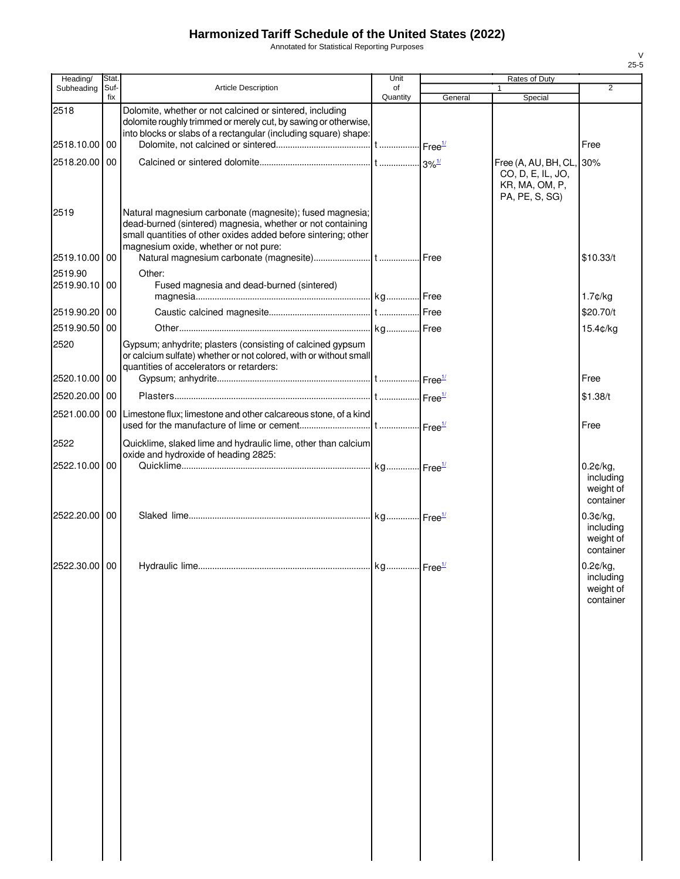Annotated for Statistical Reporting Purposes

| Heading/           | Stat. |                                                                                                                                                                                                                                   | Unit                  |         | Rates of Duty                                         |                                                    |
|--------------------|-------|-----------------------------------------------------------------------------------------------------------------------------------------------------------------------------------------------------------------------------------|-----------------------|---------|-------------------------------------------------------|----------------------------------------------------|
| Subheading         | Suf-  | Article Description                                                                                                                                                                                                               | of                    |         |                                                       | $\overline{2}$                                     |
|                    | fix   |                                                                                                                                                                                                                                   | Quantity              | General | Special                                               |                                                    |
| 2518               |       | Dolomite, whether or not calcined or sintered, including<br>dolomite roughly trimmed or merely cut, by sawing or otherwise,<br>into blocks or slabs of a rectangular (including square) shape:                                    |                       |         |                                                       |                                                    |
| 2518.10.00 00      |       |                                                                                                                                                                                                                                   |                       |         |                                                       | Free                                               |
| 2518.20.00         | 00    |                                                                                                                                                                                                                                   |                       |         | Free (A, AU, BH, CL, 30%                              |                                                    |
|                    |       |                                                                                                                                                                                                                                   |                       |         | CO, D, E, IL, JO,<br>KR, MA, OM, P,<br>PA, PE, S, SG) |                                                    |
| 2519               |       | Natural magnesium carbonate (magnesite); fused magnesia;<br>dead-burned (sintered) magnesia, whether or not containing<br>small quantities of other oxides added before sintering; other<br>magnesium oxide, whether or not pure: |                       |         |                                                       |                                                    |
| 2519.10.00         | 00    |                                                                                                                                                                                                                                   |                       |         |                                                       | \$10.33/t                                          |
| 2519.90            |       |                                                                                                                                                                                                                                   |                       |         |                                                       |                                                    |
| 2519.90.10 00      |       | Other:<br>Fused magnesia and dead-burned (sintered)                                                                                                                                                                               |                       |         |                                                       | $1.7$ ¢/kg                                         |
| 2519.90.20 00      |       |                                                                                                                                                                                                                                   |                       |         |                                                       | \$20.70/t                                          |
|                    |       |                                                                                                                                                                                                                                   |                       |         |                                                       |                                                    |
| 2519.90.50         | 00    |                                                                                                                                                                                                                                   |                       |         |                                                       | 15.4¢/kg                                           |
| 2520               |       | Gypsum; anhydrite; plasters (consisting of calcined gypsum<br>or calcium sulfate) whether or not colored, with or without small<br>quantities of accelerators or retarders:                                                       |                       |         |                                                       |                                                    |
| 2520.10.00         | 00    |                                                                                                                                                                                                                                   |                       |         |                                                       | Free                                               |
| 2520.20.00 00      |       |                                                                                                                                                                                                                                   |                       |         |                                                       | \$1.38/t                                           |
| 2521.00.00         |       | 00 Limestone flux; limestone and other calcareous stone, of a kind                                                                                                                                                                |                       |         |                                                       | Free                                               |
|                    |       |                                                                                                                                                                                                                                   |                       |         |                                                       |                                                    |
| 2522<br>2522.10.00 | 00    | Quicklime, slaked lime and hydraulic lime, other than calcium<br>oxide and hydroxide of heading 2825:                                                                                                                             |                       |         |                                                       | 0.2¢/kg,                                           |
| 2522.20.00 00      |       |                                                                                                                                                                                                                                   |                       |         |                                                       | including<br>weight of<br>container<br>$0.3$ c/kg, |
|                    |       |                                                                                                                                                                                                                                   |                       |         |                                                       | including<br>weight of<br>container                |
| 2522.30.00 00      |       | Hydraulic lime                                                                                                                                                                                                                    | kg Free <sup>1/</sup> |         |                                                       | 0.2¢/kg,<br>including                              |
|                    |       |                                                                                                                                                                                                                                   |                       |         |                                                       | weight of<br>container                             |
|                    |       |                                                                                                                                                                                                                                   |                       |         |                                                       |                                                    |
|                    |       |                                                                                                                                                                                                                                   |                       |         |                                                       |                                                    |
|                    |       |                                                                                                                                                                                                                                   |                       |         |                                                       |                                                    |
|                    |       |                                                                                                                                                                                                                                   |                       |         |                                                       |                                                    |
|                    |       |                                                                                                                                                                                                                                   |                       |         |                                                       |                                                    |
|                    |       |                                                                                                                                                                                                                                   |                       |         |                                                       |                                                    |
|                    |       |                                                                                                                                                                                                                                   |                       |         |                                                       |                                                    |
|                    |       |                                                                                                                                                                                                                                   |                       |         |                                                       |                                                    |
|                    |       |                                                                                                                                                                                                                                   |                       |         |                                                       |                                                    |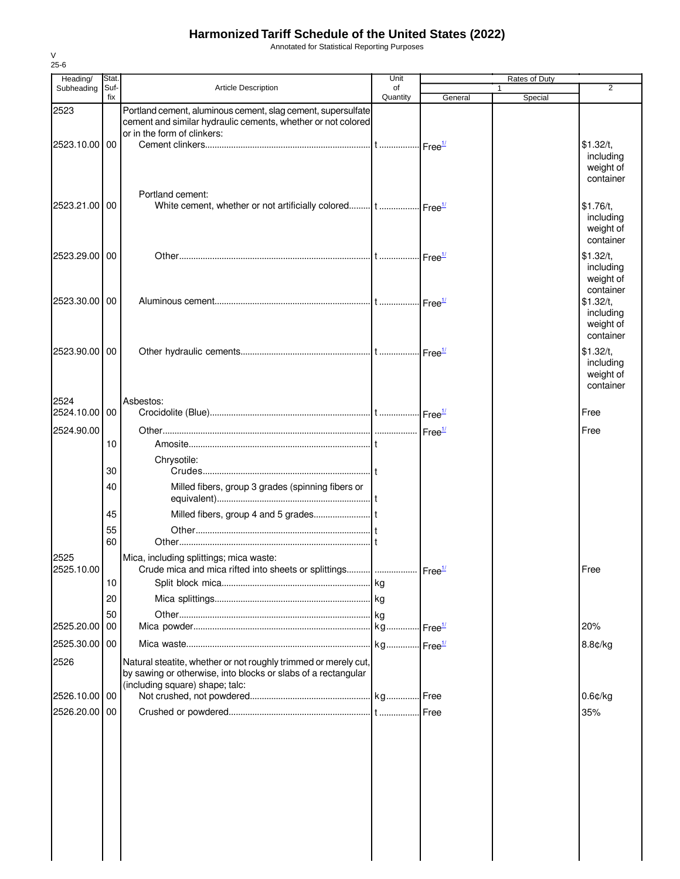Annotated for Statistical Reporting Purposes

| Heading/              | Stat.       |                                                                                                                                                             | Unit           |                      | Rates of Duty |                                                  |
|-----------------------|-------------|-------------------------------------------------------------------------------------------------------------------------------------------------------------|----------------|----------------------|---------------|--------------------------------------------------|
| Subheading            | Suf-<br>fix | <b>Article Description</b>                                                                                                                                  | of<br>Quantity | General              | 1<br>Special  | $\overline{2}$                                   |
| 2523<br>2523.10.00 00 |             | Portland cement, aluminous cement, slag cement, supersulfate<br>cement and similar hydraulic cements, whether or not colored<br>or in the form of clinkers: |                |                      |               | \$1.32/t,                                        |
|                       |             | Portland cement:                                                                                                                                            |                |                      |               | including<br>weight of<br>container              |
| 2523.21.00 00         |             |                                                                                                                                                             |                |                      |               | \$1.76/t,<br>including<br>weight of<br>container |
| 2523.29.00 00         |             |                                                                                                                                                             |                | ⊶ Free <sup>1/</sup> |               | \$1.32/t,<br>including<br>weight of<br>container |
| 2523.30.00 00         |             |                                                                                                                                                             |                |                      |               | \$1.32/t.<br>including<br>weight of<br>container |
| 2523.90.00 00         |             |                                                                                                                                                             |                |                      |               | \$1.32/t,<br>including<br>weight of<br>container |
| 2524<br>2524.10.00 00 |             | Asbestos:                                                                                                                                                   |                |                      |               | Free                                             |
| 2524.90.00            |             |                                                                                                                                                             |                |                      |               | Free                                             |
|                       | 10          |                                                                                                                                                             |                |                      |               |                                                  |
|                       | 30          | Chrysotile:                                                                                                                                                 |                |                      |               |                                                  |
|                       | 40          | Milled fibers, group 3 grades (spinning fibers or                                                                                                           |                |                      |               |                                                  |
|                       | 45          |                                                                                                                                                             |                |                      |               |                                                  |
|                       | 55          |                                                                                                                                                             |                |                      |               |                                                  |
| 2525                  | 60          |                                                                                                                                                             |                |                      |               |                                                  |
| 2525.10.00            |             | Mica, including splittings; mica waste:<br>Crude mica and mica rifted into sheets or splittings    Free <sup>1/</sup>                                       |                |                      |               | Free                                             |
|                       | 10          |                                                                                                                                                             |                |                      |               |                                                  |
|                       | 20          |                                                                                                                                                             |                |                      |               |                                                  |
| 2525.20.00            | 50<br>00    |                                                                                                                                                             |                |                      |               | 20%                                              |
| 2525.30.00 00         |             |                                                                                                                                                             |                |                      |               | 8.8¢/kg                                          |
| 2526                  |             | Natural steatite, whether or not roughly trimmed or merely cut,<br>by sawing or otherwise, into blocks or slabs of a rectangular                            |                |                      |               |                                                  |
| 2526.10.00 00         |             | (including square) shape; talc:                                                                                                                             |                |                      |               | $0.6$ ¢/kg                                       |
| 2526.20.00 00         |             |                                                                                                                                                             |                | Free                 |               | 35%                                              |
|                       |             |                                                                                                                                                             |                |                      |               |                                                  |
|                       |             |                                                                                                                                                             |                |                      |               |                                                  |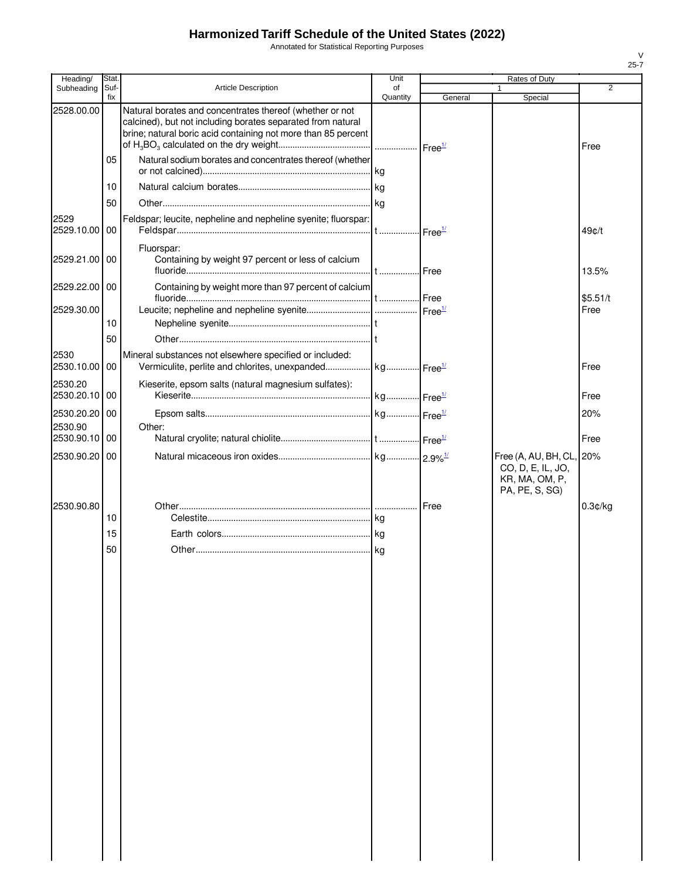Annotated for Statistical Reporting Purposes

| Heading/                 | <b>Stat</b> |                                                                                                                                                                                          | Unit           |         | Rates of Duty                                                                 |            |
|--------------------------|-------------|------------------------------------------------------------------------------------------------------------------------------------------------------------------------------------------|----------------|---------|-------------------------------------------------------------------------------|------------|
| Subheading               | Suf-<br>fix | <b>Article Description</b>                                                                                                                                                               | of<br>Quantity | General | Special                                                                       | 2          |
| 2528.00.00               |             | Natural borates and concentrates thereof (whether or not<br>calcined), but not including borates separated from natural<br>brine; natural boric acid containing not more than 85 percent |                |         |                                                                               | Free       |
|                          | 05          | Natural sodium borates and concentrates thereof (whether                                                                                                                                 |                |         |                                                                               |            |
|                          | 10<br>50    |                                                                                                                                                                                          |                |         |                                                                               |            |
| 2529<br>2529.10.00       | 00          | Feldspar; leucite, nepheline and nepheline syenite; fluorspar:                                                                                                                           |                |         |                                                                               | 49¢/t      |
| 2529.21.00 00            |             | Fluorspar:<br>Containing by weight 97 percent or less of calcium                                                                                                                         |                |         |                                                                               | 13.5%      |
| 2529.22.00 00            |             | Containing by weight more than 97 percent of calcium                                                                                                                                     |                |         |                                                                               | \$5.51/t   |
| 2529.30.00               | 10          |                                                                                                                                                                                          |                |         |                                                                               | Free       |
| 2530                     | 50          | Mineral substances not elsewhere specified or included:                                                                                                                                  |                |         |                                                                               |            |
| 2530.10.00<br>2530.20    | 00          | Kieserite, epsom salts (natural magnesium sulfates):                                                                                                                                     |                |         |                                                                               | Free       |
| 2530.20.10 00            |             |                                                                                                                                                                                          |                |         |                                                                               | Free       |
| 2530.20.20 00<br>2530.90 |             | Other:                                                                                                                                                                                   |                |         |                                                                               | 20%        |
| 2530.90.10 00            |             |                                                                                                                                                                                          |                |         |                                                                               | Free       |
| 2530.90.20 00            |             |                                                                                                                                                                                          |                |         | Free (A, AU, BH, CL,<br>CO, D, E, IL, JO,<br>KR, MA, OM, P,<br>PA, PE, S, SG) | 20%        |
| 2530.90.80               | 10          |                                                                                                                                                                                          |                |         |                                                                               | $0.3$ ¢/kg |
|                          | 15          |                                                                                                                                                                                          |                |         |                                                                               |            |
|                          | 50          |                                                                                                                                                                                          |                |         |                                                                               |            |
|                          |             |                                                                                                                                                                                          |                |         |                                                                               |            |
|                          |             |                                                                                                                                                                                          |                |         |                                                                               |            |
|                          |             |                                                                                                                                                                                          |                |         |                                                                               |            |
|                          |             |                                                                                                                                                                                          |                |         |                                                                               |            |
|                          |             |                                                                                                                                                                                          |                |         |                                                                               |            |
|                          |             |                                                                                                                                                                                          |                |         |                                                                               |            |
|                          |             |                                                                                                                                                                                          |                |         |                                                                               |            |
|                          |             |                                                                                                                                                                                          |                |         |                                                                               |            |
|                          |             |                                                                                                                                                                                          |                |         |                                                                               |            |
|                          |             |                                                                                                                                                                                          |                |         |                                                                               |            |
|                          |             |                                                                                                                                                                                          |                |         |                                                                               |            |
|                          |             |                                                                                                                                                                                          |                |         |                                                                               |            |